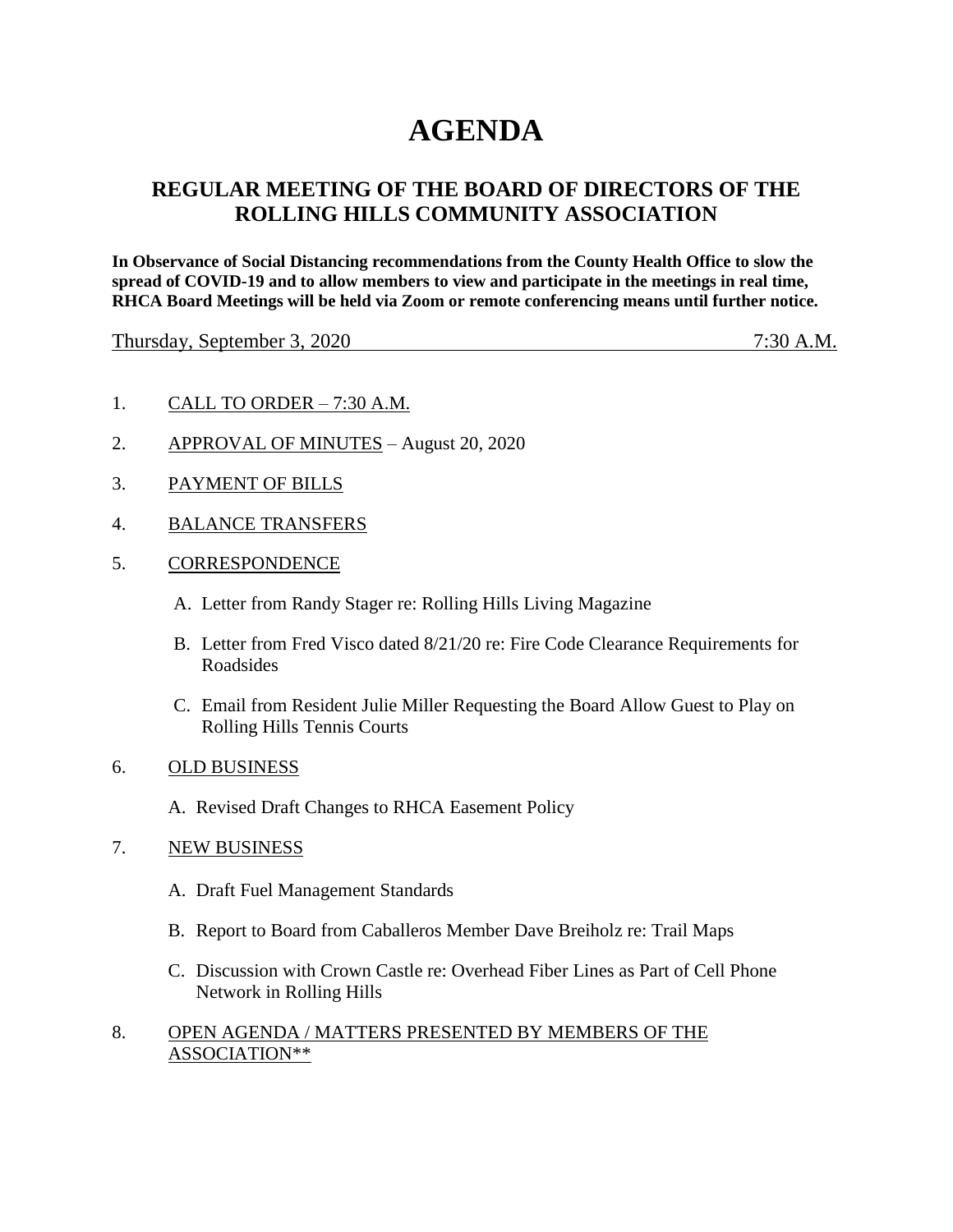# **AGENDA**

# **REGULAR MEETING OF THE BOARD OF DIRECTORS OF THE ROLLING HILLS COMMUNITY ASSOCIATION**

**In Observance of Social Distancing recommendations from the County Health Office to slow the spread of COVID-19 and to allow members to view and participate in the meetings in real time, RHCA Board Meetings will be held via Zoom or remote conferencing means until further notice.** 

Thursday, September 3, 2020 7:30 A.M.

- 1. CALL TO ORDER 7:30 A.M.
- 2. APPROVAL OF MINUTES August 20, 2020
- 3. PAYMENT OF BILLS
- 4. BALANCE TRANSFERS
- 5. CORRESPONDENCE
	- A. Letter from Randy Stager re: Rolling Hills Living Magazine
	- B. Letter from Fred Visco dated 8/21/20 re: Fire Code Clearance Requirements for Roadsides
	- C. Email from Resident Julie Miller Requesting the Board Allow Guest to Play on Rolling Hills Tennis Courts
- 6. OLD BUSINESS
	- A. Revised Draft Changes to RHCA Easement Policy
- 7. NEW BUSINESS
	- A. Draft Fuel Management Standards
	- B. Report to Board from Caballeros Member Dave Breiholz re: Trail Maps
	- C. Discussion with Crown Castle re: Overhead Fiber Lines as Part of Cell Phone Network in Rolling Hills
- 8. OPEN AGENDA / MATTERS PRESENTED BY MEMBERS OF THE ASSOCIATION\*\*